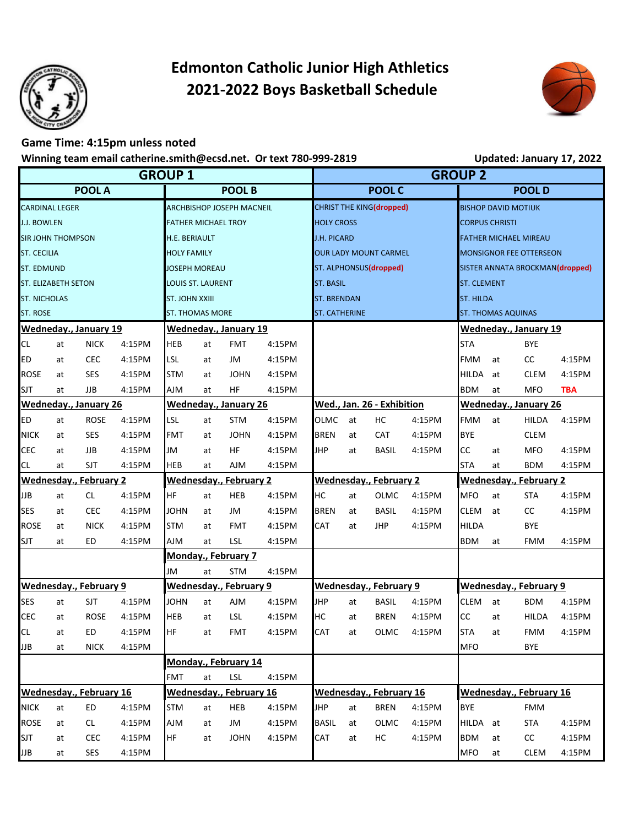

## **Edmonton Catholic Junior High Athletics 2021-2022 Boys Basketball Schedule**



## **Game Time: 4:15pm unless noted**

## **Winning team email catherine.smith@ecsd.net. Or text 780-999-2819 Updated: January 17, 2022**

| <b>GROUP 1</b>               |    |                               |        |                            |                                |             |                      |                                | <b>GROUP 2</b>                |                          |                                 |                            |                        |              |            |  |  |
|------------------------------|----|-------------------------------|--------|----------------------------|--------------------------------|-------------|----------------------|--------------------------------|-------------------------------|--------------------------|---------------------------------|----------------------------|------------------------|--------------|------------|--|--|
| <b>POOL A</b>                |    |                               |        | <b>POOL B</b>              |                                |             |                      | <b>POOL C</b>                  |                               |                          |                                 | <b>POOLD</b>               |                        |              |            |  |  |
| <b>CARDINAL LEGER</b>        |    |                               |        | ARCHBISHOP JOSEPH MACNEIL  |                                |             |                      |                                |                               | CHRIST THE KING(dropped) |                                 | <b>BISHOP DAVID MOTIUK</b> |                        |              |            |  |  |
| <b>J.J. BOWLEN</b>           |    |                               |        | <b>FATHER MICHAEL TROY</b> |                                |             | <b>HOLY CROSS</b>    |                                |                               |                          | <b>CORPUS CHRISTI</b>           |                            |                        |              |            |  |  |
| <b>SIR JOHN THOMPSON</b>     |    |                               |        | H.E. BERIAULT              |                                |             | <b>J.H. PICARD</b>   |                                |                               |                          | <b>FATHER MICHAEL MIREAU</b>    |                            |                        |              |            |  |  |
| <b>ST. CECILIA</b>           |    |                               |        | <b>HOLY FAMILY</b>         |                                |             |                      |                                | <b>OUR LADY MOUNT CARMEL</b>  |                          | <b>MONSIGNOR FEE OTTERSEON</b>  |                            |                        |              |            |  |  |
| <b>ST. EDMUND</b>            |    |                               |        | <b>JOSEPH MOREAU</b>       |                                |             |                      |                                | ST. ALPHONSUS(dropped)        |                          | SISTER ANNATA BROCKMAN(dropped) |                            |                        |              |            |  |  |
| <b>ST. ELIZABETH SETON</b>   |    |                               |        | <b>LOUIS ST. LAURENT</b>   |                                |             | <b>ST. BASIL</b>     |                                |                               |                          | <b>ST. CLEMENT</b>              |                            |                        |              |            |  |  |
| <b>ST. NICHOLAS</b>          |    |                               |        | <b>ST. JOHN XXIII</b>      |                                |             | <b>ST. BRENDAN</b>   |                                |                               |                          | <b>ST. HILDA</b>                |                            |                        |              |            |  |  |
| <b>ST. ROSE</b>              |    |                               |        | <b>ST. THOMAS MORE</b>     |                                |             | <b>ST. CATHERINE</b> |                                |                               |                          | <b>ST. THOMAS AQUINAS</b>       |                            |                        |              |            |  |  |
|                              |    | Wedneday., January 19         |        |                            | <b>Wedneday., January 19</b>   |             |                      |                                |                               |                          | <b>Wedneday., January 19</b>    |                            |                        |              |            |  |  |
| <b>CL</b>                    | at | <b>NICK</b>                   | 4:15PM | <b>HEB</b>                 | at                             | <b>FMT</b>  | 4:15PM               |                                |                               |                          |                                 | <b>STA</b>                 |                        | <b>BYE</b>   |            |  |  |
| <b>ED</b>                    | at | <b>CEC</b>                    | 4:15PM | <b>LSL</b>                 | at                             | JM          | 4:15PM               |                                |                               |                          |                                 | <b>FMM</b>                 | at                     | CC           | 4:15PM     |  |  |
| <b>ROSE</b>                  | at | <b>SES</b>                    | 4:15PM | <b>STM</b>                 | at                             | <b>JOHN</b> | 4:15PM               |                                |                               |                          |                                 | <b>HILDA</b>               | at                     | <b>CLEM</b>  | 4:15PM     |  |  |
| <b>SJT</b>                   | at | JJB                           | 4:15PM | <b>NIA</b>                 | at                             | HF          | 4:15PM               |                                |                               |                          |                                 | <b>BDM</b>                 | at                     | <b>MFO</b>   | <b>TBA</b> |  |  |
| <b>Wedneday., January 26</b> |    |                               |        |                            | <b>Wedneday., January 26</b>   |             |                      |                                | Wed., Jan. 26 - Exhibition    |                          | <b>Wedneday., January 26</b>    |                            |                        |              |            |  |  |
| <b>ED</b>                    | at | <b>ROSE</b>                   | 4:15PM | <b>LSL</b>                 | at                             | <b>STM</b>  | 4:15PM               | <b>OLMC</b>                    | at                            | HC                       | 4:15PM                          | <b>FMM</b>                 | at                     | <b>HILDA</b> | 4:15PM     |  |  |
| <b>NICK</b>                  | at | SES                           | 4:15PM | <b>FMT</b>                 | at                             | <b>JOHN</b> | 4:15PM               | <b>BREN</b>                    | at                            | <b>CAT</b>               | 4:15PM                          | <b>BYE</b>                 |                        | <b>CLEM</b>  |            |  |  |
| <b>CEC</b>                   | at | JJB                           | 4:15PM | JM                         | at                             | <b>HF</b>   | 4:15PM               | <b>JHP</b>                     | at                            | <b>BASIL</b>             | 4:15PM                          | <b>CC</b>                  | at                     | <b>MFO</b>   | 4:15PM     |  |  |
| <b>CL</b>                    | at | SJT                           | 4:15PM | <b>HEB</b>                 | at                             | <b>AJM</b>  | 4:15PM               |                                |                               |                          |                                 | <b>STA</b>                 | at                     | <b>BDM</b>   | 4:15PM     |  |  |
|                              |    | <b>Wednesday., February 2</b> |        | Wednesday.,                | <b>February 2</b>              |             |                      |                                | <b>Wednesday., February 2</b> |                          | <b>Wednesday., February 2</b>   |                            |                        |              |            |  |  |
| <b>JJB</b>                   | at | <b>CL</b>                     | 4:15PM | <b>HF</b>                  | at                             | HEB         | 4:15PM               | HC                             | at                            | <b>OLMC</b>              | 4:15PM                          | <b>MFO</b>                 | at                     | <b>STA</b>   | 4:15PM     |  |  |
| <b>SES</b>                   | at | <b>CEC</b>                    | 4:15PM | <b>JOHN</b>                | at                             | JM          | 4:15PM               | <b>BREN</b>                    | at                            | <b>BASIL</b>             | 4:15PM                          | <b>CLEM</b>                | at                     | CC           | 4:15PM     |  |  |
| <b>ROSE</b>                  | at | <b>NICK</b>                   | 4:15PM | <b>STM</b>                 | at                             | <b>FMT</b>  | 4:15PM               | CAT                            | at                            | <b>JHP</b>               | 4:15PM                          | <b>HILDA</b>               |                        | <b>BYE</b>   |            |  |  |
| <b>SJT</b>                   | at | <b>ED</b>                     | 4:15PM | <b>AJM</b>                 | at                             | LSL         | 4:15PM               |                                |                               |                          |                                 | <b>BDM</b>                 | at                     | <b>FMM</b>   | 4:15PM     |  |  |
|                              |    |                               |        |                            | <b>Monday., February 7</b>     |             |                      |                                |                               |                          |                                 |                            |                        |              |            |  |  |
|                              |    |                               |        | JM                         | <b>STM</b>                     | 4:15PM      |                      |                                |                               |                          |                                 |                            |                        |              |            |  |  |
|                              |    | <b>Wednesday., February 9</b> |        |                            | Wednesday., February 9         |             |                      |                                | Wednesday., February 9        |                          |                                 |                            | Wednesday., February 9 |              |            |  |  |
| <b>SES</b>                   | at | <b>SJT</b>                    | 4:15PM | JOHN                       | at                             | <b>AJM</b>  | 4:15PM               | <b>JHP</b>                     | at                            | <b>BASIL</b>             | 4:15PM                          | <b>CLEM</b>                | at                     | <b>BDM</b>   | 4:15PM     |  |  |
| <b>CEC</b>                   | at | <b>ROSE</b>                   | 4:15PM | <b>HEB</b>                 | at                             | <b>LSL</b>  | 4:15PM               | HC                             | at                            | <b>BREN</b>              | 4:15PM                          | <b>CC</b>                  | at                     | <b>HILDA</b> | 4:15PM     |  |  |
| <b>CL</b>                    | at | ED                            | 4:15PM | HF                         | at                             | FMT         | 4:15PM               | CAT                            | at                            |                          | OLMC 4:15PM                     | <b>STA</b>                 | at                     | FMM          | 4:15PM     |  |  |
| <b>JJB</b>                   | at | <b>NICK</b>                   | 4:15PM |                            |                                |             |                      |                                |                               |                          |                                 | <b>MFO</b>                 |                        | <b>BYE</b>   |            |  |  |
|                              |    |                               |        |                            | Monday., February 14           |             |                      |                                |                               |                          |                                 |                            |                        |              |            |  |  |
|                              |    |                               |        | <b>FMT</b>                 | LSL<br>at<br>4:15PM            |             |                      |                                |                               |                          |                                 |                            |                        |              |            |  |  |
|                              |    | Wednesday., February 16       |        |                            | <b>Wednesday., February 16</b> |             |                      | <b>Wednesday., February 16</b> |                               |                          |                                 | Wednesday., February 16    |                        |              |            |  |  |
| <b>NICK</b>                  | at | ED                            | 4:15PM | <b>STM</b>                 | at                             | HEB         | 4:15PM               | <b>JHP</b>                     | at                            | <b>BREN</b>              | 4:15PM                          | <b>BYE</b>                 |                        | <b>FMM</b>   |            |  |  |
| <b>ROSE</b>                  | at | CL.                           | 4:15PM | MlA                        | at                             | JM          | 4:15PM               | <b>BASIL</b>                   | at                            | OLMC                     | 4:15PM                          | HILDA at                   |                        | <b>STA</b>   | 4:15PM     |  |  |
| <b>SJT</b>                   | at | <b>CEC</b>                    | 4:15PM | HF                         | at                             | <b>JOHN</b> | 4:15PM               | CAT                            | at                            | НC                       | 4:15PM                          | <b>BDM</b>                 | at                     | cc           | 4:15PM     |  |  |
| JJB                          | at | SES                           | 4:15PM |                            |                                |             |                      |                                |                               |                          |                                 | MFO                        | at                     | <b>CLEM</b>  | 4:15PM     |  |  |